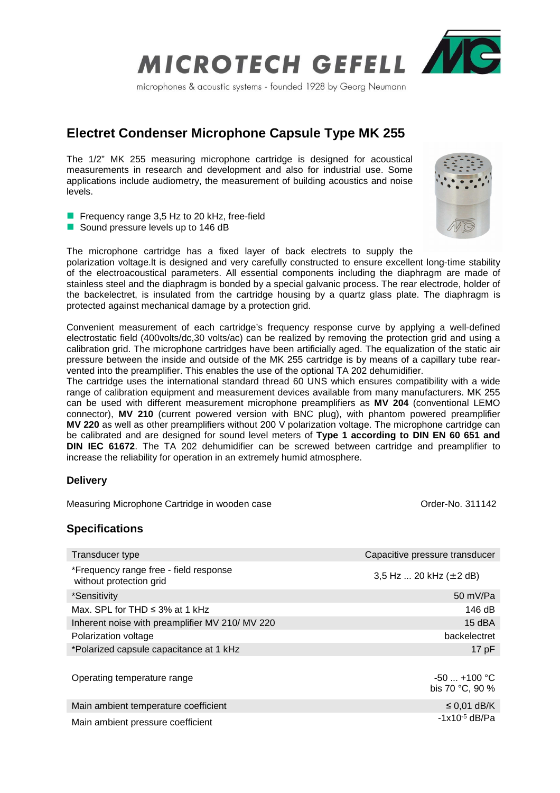

microphones & acoustic systems - founded 1928 by Georg Neumann

# **Electret Condenser Microphone Capsule Type MK 255**

The 1/2" MK 255 measuring microphone cartridge is designed for acoustical measurements in research and development and also for industrial use. Some applications include audiometry, the measurement of building acoustics and noise levels.

- **Figure 1** Frequency range 3,5 Hz to 20 kHz, free-field
- Sound pressure levels up to 146 dB

The microphone cartridge has a fixed layer of back electrets to supply the polarization voltage.lt is designed and very carefully constructed to ensure excellent long-time stability of the electroacoustical parameters. All essential components including the diaphragm are made of stainless steel and the diaphragm is bonded by a special galvanic process. The rear electrode, holder of the backelectret, is insulated from the cartridge housing by a quartz glass plate. The diaphragm is protected against mechanical damage by a protection grid.

Convenient measurement of each cartridge's frequency response curve by applying a well-defined electrostatic field (400volts/dc,30 volts/ac) can be realized by removing the protection grid and using a calibration grid. The microphone cartridges have been artificially aged. The equalization of the static air pressure between the inside and outside of the MK 255 cartridge is by means of a capillary tube rearvented into the preamplifier. This enables the use of the optional TA 202 dehumidifier.

The cartridge uses the international standard thread 60 UNS which ensures compatibility with a wide range of calibration equipment and measurement devices available from many manufacturers. MK 255 can be used with different measurement microphone preamplifiers as **MV 204** (conventional LEMO connector), **MV 210** (current powered version with BNC plug), with phantom powered preamplifier **MV 220** as well as other preamplifiers without 200 V polarization voltage. The microphone cartridge can be calibrated and are designed for sound level meters of **Type 1 according to DIN EN 60 651 and DIN IEC 61672**. The TA 202 dehumidifier can be screwed between cartridge and preamplifier to increase the reliability for operation in an extremely humid atmosphere.

## **Delivery**

Measuring Microphone Cartridge in wooden case **Order-No.** 311142

## **Specifications**

| Transducer type                                                   | Capacitive pressure transducer     |
|-------------------------------------------------------------------|------------------------------------|
| *Frequency range free - field response<br>without protection grid | 3,5 Hz  20 kHz $(\pm 2$ dB)        |
| *Sensitivity                                                      | 50 mV/Pa                           |
| Max. SPL for THD $\leq$ 3% at 1 kHz                               | 146 dB                             |
| Inherent noise with preamplifier MV 210/ MV 220                   | 15 dBA                             |
| Polarization voltage                                              | backelectret                       |
| *Polarized capsule capacitance at 1 kHz                           | 17pF                               |
| Operating temperature range                                       | $-50$ $+100$ °C<br>bis 70 °C, 90 % |
| Main ambient temperature coefficient                              | $\leq$ 0,01 dB/K                   |
| Main ambient pressure coefficient                                 | $-1x10^{-5}$ dB/Pa                 |